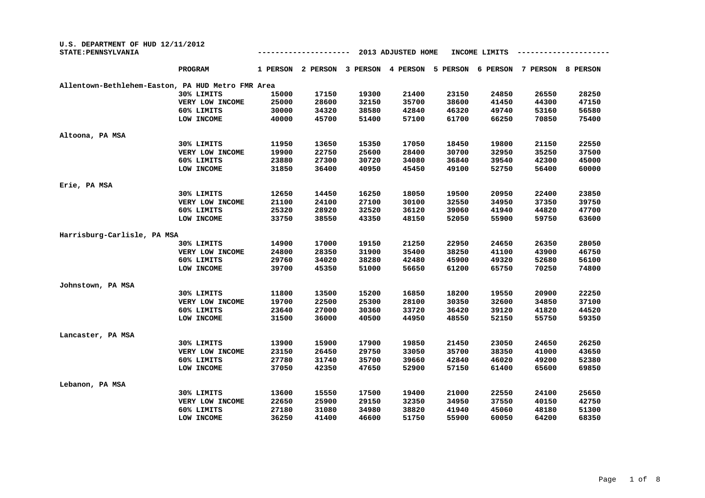| U.S. DEPARTMENT OF HUD 12/11/2012<br>STATE: PENNSYLVANIA |                 |          |          |          | 2013 ADJUSTED HOME |          | INCOME LIMITS |          |                 |
|----------------------------------------------------------|-----------------|----------|----------|----------|--------------------|----------|---------------|----------|-----------------|
|                                                          | PROGRAM         | 1 PERSON | 2 PERSON | 3 PERSON | 4 PERSON           | 5 PERSON | 6 PERSON      | 7 PERSON | <b>8 PERSON</b> |
| Allentown-Bethlehem-Easton, PA HUD Metro FMR Area        |                 |          |          |          |                    |          |               |          |                 |
|                                                          | 30% LIMITS      | 15000    | 17150    | 19300    | 21400              | 23150    | 24850         | 26550    | 28250           |
|                                                          | VERY LOW INCOME | 25000    | 28600    | 32150    | 35700              | 38600    | 41450         | 44300    | 47150           |
|                                                          | 60% LIMITS      | 30000    | 34320    | 38580    | 42840              | 46320    | 49740         | 53160    | 56580           |
|                                                          | LOW INCOME      | 40000    | 45700    | 51400    | 57100              | 61700    | 66250         | 70850    | 75400           |
| Altoona, PA MSA                                          |                 |          |          |          |                    |          |               |          |                 |
|                                                          | 30% LIMITS      | 11950    | 13650    | 15350    | 17050              | 18450    | 19800         | 21150    | 22550           |
|                                                          | VERY LOW INCOME | 19900    | 22750    | 25600    | 28400              | 30700    | 32950         | 35250    | 37500           |
|                                                          | 60% LIMITS      | 23880    | 27300    | 30720    | 34080              | 36840    | 39540         | 42300    | 45000           |
|                                                          | LOW INCOME      | 31850    | 36400    | 40950    | 45450              | 49100    | 52750         | 56400    | 60000           |
| Erie, PA MSA                                             |                 |          |          |          |                    |          |               |          |                 |
|                                                          | 30% LIMITS      | 12650    | 14450    | 16250    | 18050              | 19500    | 20950         | 22400    | 23850           |
|                                                          | VERY LOW INCOME | 21100    | 24100    | 27100    | 30100              | 32550    | 34950         | 37350    | 39750           |
|                                                          | 60% LIMITS      | 25320    | 28920    | 32520    | 36120              | 39060    | 41940         | 44820    | 47700           |
|                                                          | LOW INCOME      | 33750    | 38550    | 43350    | 48150              | 52050    | 55900         | 59750    | 63600           |
| Harrisburg-Carlisle, PA MSA                              |                 |          |          |          |                    |          |               |          |                 |
|                                                          | 30% LIMITS      | 14900    | 17000    | 19150    | 21250              | 22950    | 24650         | 26350    | 28050           |
|                                                          | VERY LOW INCOME | 24800    | 28350    | 31900    | 35400              | 38250    | 41100         | 43900    | 46750           |
|                                                          | 60% LIMITS      | 29760    | 34020    | 38280    | 42480              | 45900    | 49320         | 52680    | 56100           |
|                                                          | LOW INCOME      | 39700    | 45350    | 51000    | 56650              | 61200    | 65750         | 70250    | 74800           |
| Johnstown, PA MSA                                        |                 |          |          |          |                    |          |               |          |                 |
|                                                          | 30% LIMITS      | 11800    | 13500    | 15200    | 16850              | 18200    | 19550         | 20900    | 22250           |
|                                                          | VERY LOW INCOME | 19700    | 22500    | 25300    | 28100              | 30350    | 32600         | 34850    | 37100           |
|                                                          | 60% LIMITS      | 23640    | 27000    | 30360    | 33720              | 36420    | 39120         | 41820    | 44520           |
|                                                          | LOW INCOME      | 31500    | 36000    | 40500    | 44950              | 48550    | 52150         | 55750    | 59350           |
| Lancaster, PA MSA                                        |                 |          |          |          |                    |          |               |          |                 |
|                                                          | 30% LIMITS      | 13900    | 15900    | 17900    | 19850              | 21450    | 23050         | 24650    | 26250           |
|                                                          | VERY LOW INCOME | 23150    | 26450    | 29750    | 33050              | 35700    | 38350         | 41000    | 43650           |
|                                                          | 60% LIMITS      | 27780    | 31740    | 35700    | 39660              | 42840    | 46020         | 49200    | 52380           |
|                                                          | LOW INCOME      | 37050    | 42350    | 47650    | 52900              | 57150    | 61400         | 65600    | 69850           |
| Lebanon, PA MSA                                          |                 |          |          |          |                    |          |               |          |                 |
|                                                          | 30% LIMITS      | 13600    | 15550    | 17500    | 19400              | 21000    | 22550         | 24100    | 25650           |
|                                                          | VERY LOW INCOME | 22650    | 25900    | 29150    | 32350              | 34950    | 37550         | 40150    | 42750           |
|                                                          | 60% LIMITS      | 27180    | 31080    | 34980    | 38820              | 41940    | 45060         | 48180    | 51300           |
|                                                          | LOW INCOME      | 36250    | 41400    | 46600    | 51750              | 55900    | 60050         | 64200    | 68350           |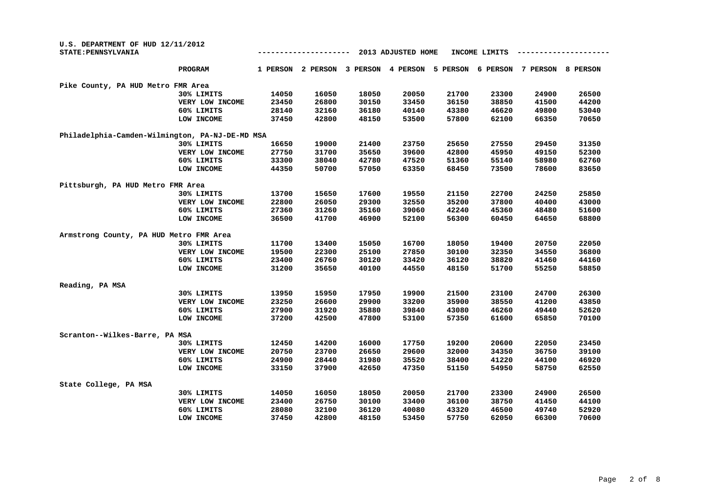| U.S. DEPARTMENT OF HUD 12/11/2012<br>STATE: PENNSYLVANIA |                 |          |          |          | 2013 ADJUSTED HOME |          | INCOME LIMITS |          |          |
|----------------------------------------------------------|-----------------|----------|----------|----------|--------------------|----------|---------------|----------|----------|
|                                                          | <b>PROGRAM</b>  | 1 PERSON | 2 PERSON | 3 PERSON | 4 PERSON           | 5 PERSON | 6 PERSON      | 7 PERSON | 8 PERSON |
| Pike County, PA HUD Metro FMR Area                       |                 |          |          |          |                    |          |               |          |          |
|                                                          | 30% LIMITS      | 14050    | 16050    | 18050    | 20050              | 21700    | 23300         | 24900    | 26500    |
|                                                          | VERY LOW INCOME | 23450    | 26800    | 30150    | 33450              | 36150    | 38850         | 41500    | 44200    |
|                                                          | 60% LIMITS      | 28140    | 32160    | 36180    | 40140              | 43380    | 46620         | 49800    | 53040    |
|                                                          | LOW INCOME      | 37450    | 42800    | 48150    | 53500              | 57800    | 62100         | 66350    | 70650    |
| Philadelphia-Camden-Wilmington, PA-NJ-DE-MD MSA          |                 |          |          |          |                    |          |               |          |          |
|                                                          | 30% LIMITS      | 16650    | 19000    | 21400    | 23750              | 25650    | 27550         | 29450    | 31350    |
|                                                          | VERY LOW INCOME | 27750    | 31700    | 35650    | 39600              | 42800    | 45950         | 49150    | 52300    |
|                                                          | 60% LIMITS      | 33300    | 38040    | 42780    | 47520              | 51360    | 55140         | 58980    | 62760    |
|                                                          | LOW INCOME      | 44350    | 50700    | 57050    | 63350              | 68450    | 73500         | 78600    | 83650    |
| Pittsburgh, PA HUD Metro FMR Area                        |                 |          |          |          |                    |          |               |          |          |
|                                                          | 30% LIMITS      | 13700    | 15650    | 17600    | 19550              | 21150    | 22700         | 24250    | 25850    |
|                                                          | VERY LOW INCOME | 22800    | 26050    | 29300    | 32550              | 35200    | 37800         | 40400    | 43000    |
|                                                          | 60% LIMITS      | 27360    | 31260    | 35160    | 39060              | 42240    | 45360         | 48480    | 51600    |
|                                                          | LOW INCOME      | 36500    | 41700    | 46900    | 52100              | 56300    | 60450         | 64650    | 68800    |
| Armstrong County, PA HUD Metro FMR Area                  |                 |          |          |          |                    |          |               |          |          |
|                                                          | 30% LIMITS      | 11700    | 13400    | 15050    | 16700              | 18050    | 19400         | 20750    | 22050    |
|                                                          | VERY LOW INCOME | 19500    | 22300    | 25100    | 27850              | 30100    | 32350         | 34550    | 36800    |
|                                                          | 60% LIMITS      | 23400    | 26760    | 30120    | 33420              | 36120    | 38820         | 41460    | 44160    |
|                                                          | LOW INCOME      | 31200    | 35650    | 40100    | 44550              | 48150    | 51700         | 55250    | 58850    |
| Reading, PA MSA                                          |                 |          |          |          |                    |          |               |          |          |
|                                                          | 30% LIMITS      | 13950    | 15950    | 17950    | 19900              | 21500    | 23100         | 24700    | 26300    |
|                                                          | VERY LOW INCOME | 23250    | 26600    | 29900    | 33200              | 35900    | 38550         | 41200    | 43850    |
|                                                          | 60% LIMITS      | 27900    | 31920    | 35880    | 39840              | 43080    | 46260         | 49440    | 52620    |
|                                                          | LOW INCOME      | 37200    | 42500    | 47800    | 53100              | 57350    | 61600         | 65850    | 70100    |
| Scranton--Wilkes-Barre, PA MSA                           |                 |          |          |          |                    |          |               |          |          |
|                                                          | 30% LIMITS      | 12450    | 14200    | 16000    | 17750              | 19200    | 20600         | 22050    | 23450    |
|                                                          | VERY LOW INCOME | 20750    | 23700    | 26650    | 29600              | 32000    | 34350         | 36750    | 39100    |
|                                                          | 60% LIMITS      | 24900    | 28440    | 31980    | 35520              | 38400    | 41220         | 44100    | 46920    |
|                                                          | LOW INCOME      | 33150    | 37900    | 42650    | 47350              | 51150    | 54950         | 58750    | 62550    |
| State College, PA MSA                                    |                 |          |          |          |                    |          |               |          |          |
|                                                          | 30% LIMITS      | 14050    | 16050    | 18050    | 20050              | 21700    | 23300         | 24900    | 26500    |
|                                                          | VERY LOW INCOME | 23400    | 26750    | 30100    | 33400              | 36100    | 38750         | 41450    | 44100    |
|                                                          | 60% LIMITS      | 28080    | 32100    | 36120    | 40080              | 43320    | 46500         | 49740    | 52920    |
|                                                          | LOW INCOME      | 37450    | 42800    | 48150    | 53450              | 57750    | 62050         | 66300    | 70600    |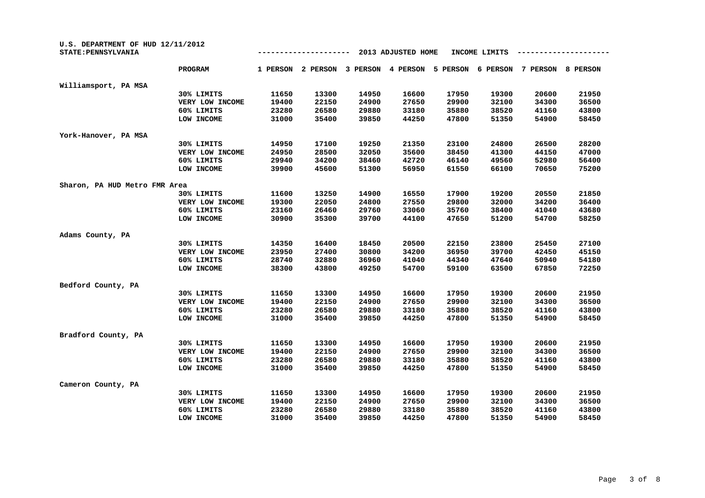| U.S. DEPARTMENT OF HUD 12/11/2012<br>STATE: PENNSYLVANIA |                 |          |          |          | 2013 ADJUSTED HOME |          | INCOME LIMITS |          |          |
|----------------------------------------------------------|-----------------|----------|----------|----------|--------------------|----------|---------------|----------|----------|
|                                                          | <b>PROGRAM</b>  | 1 PERSON | 2 PERSON | 3 PERSON | 4 PERSON           | 5 PERSON | 6 PERSON      | 7 PERSON | 8 PERSON |
| Williamsport, PA MSA                                     |                 |          |          |          |                    |          |               |          |          |
|                                                          | 30% LIMITS      | 11650    | 13300    | 14950    | 16600              | 17950    | 19300         | 20600    | 21950    |
|                                                          | VERY LOW INCOME | 19400    | 22150    | 24900    | 27650              | 29900    | 32100         | 34300    | 36500    |
|                                                          | 60% LIMITS      | 23280    | 26580    | 29880    | 33180              | 35880    | 38520         | 41160    | 43800    |
|                                                          | LOW INCOME      | 31000    | 35400    | 39850    | 44250              | 47800    | 51350         | 54900    | 58450    |
| York-Hanover, PA MSA                                     |                 |          |          |          |                    |          |               |          |          |
|                                                          | 30% LIMITS      | 14950    | 17100    | 19250    | 21350              | 23100    | 24800         | 26500    | 28200    |
|                                                          | VERY LOW INCOME | 24950    | 28500    | 32050    | 35600              | 38450    | 41300         | 44150    | 47000    |
|                                                          | 60% LIMITS      | 29940    | 34200    | 38460    | 42720              | 46140    | 49560         | 52980    | 56400    |
|                                                          | LOW INCOME      | 39900    | 45600    | 51300    | 56950              | 61550    | 66100         | 70650    | 75200    |
| Sharon, PA HUD Metro FMR Area                            |                 |          |          |          |                    |          |               |          |          |
|                                                          | 30% LIMITS      | 11600    | 13250    | 14900    | 16550              | 17900    | 19200         | 20550    | 21850    |
|                                                          | VERY LOW INCOME | 19300    | 22050    | 24800    | 27550              | 29800    | 32000         | 34200    | 36400    |
|                                                          | 60% LIMITS      | 23160    | 26460    | 29760    | 33060              | 35760    | 38400         | 41040    | 43680    |
|                                                          | LOW INCOME      | 30900    | 35300    | 39700    | 44100              | 47650    | 51200         | 54700    | 58250    |
| Adams County, PA                                         |                 |          |          |          |                    |          |               |          |          |
|                                                          | 30% LIMITS      | 14350    | 16400    | 18450    | 20500              | 22150    | 23800         | 25450    | 27100    |
|                                                          | VERY LOW INCOME | 23950    | 27400    | 30800    | 34200              | 36950    | 39700         | 42450    | 45150    |
|                                                          | 60% LIMITS      | 28740    | 32880    | 36960    | 41040              | 44340    | 47640         | 50940    | 54180    |
|                                                          | LOW INCOME      | 38300    | 43800    | 49250    | 54700              | 59100    | 63500         | 67850    | 72250    |
| Bedford County, PA                                       |                 |          |          |          |                    |          |               |          |          |
|                                                          | 30% LIMITS      | 11650    | 13300    | 14950    | 16600              | 17950    | 19300         | 20600    | 21950    |
|                                                          | VERY LOW INCOME | 19400    | 22150    | 24900    | 27650              | 29900    | 32100         | 34300    | 36500    |
|                                                          | 60% LIMITS      | 23280    | 26580    | 29880    | 33180              | 35880    | 38520         | 41160    | 43800    |
|                                                          | LOW INCOME      | 31000    | 35400    | 39850    | 44250              | 47800    | 51350         | 54900    | 58450    |
| Bradford County, PA                                      |                 |          |          |          |                    |          |               |          |          |
|                                                          | 30% LIMITS      | 11650    | 13300    | 14950    | 16600              | 17950    | 19300         | 20600    | 21950    |
|                                                          | VERY LOW INCOME | 19400    | 22150    | 24900    | 27650              | 29900    | 32100         | 34300    | 36500    |
|                                                          | 60% LIMITS      | 23280    | 26580    | 29880    | 33180              | 35880    | 38520         | 41160    | 43800    |
|                                                          | LOW INCOME      | 31000    | 35400    | 39850    | 44250              | 47800    | 51350         | 54900    | 58450    |
| Cameron County, PA                                       |                 |          |          |          |                    |          |               |          |          |
|                                                          | 30% LIMITS      | 11650    | 13300    | 14950    | 16600              | 17950    | 19300         | 20600    | 21950    |
|                                                          | VERY LOW INCOME | 19400    | 22150    | 24900    | 27650              | 29900    | 32100         | 34300    | 36500    |
|                                                          | 60% LIMITS      | 23280    | 26580    | 29880    | 33180              | 35880    | 38520         | 41160    | 43800    |
|                                                          | LOW INCOME      | 31000    | 35400    | 39850    | 44250              | 47800    | 51350         | 54900    | 58450    |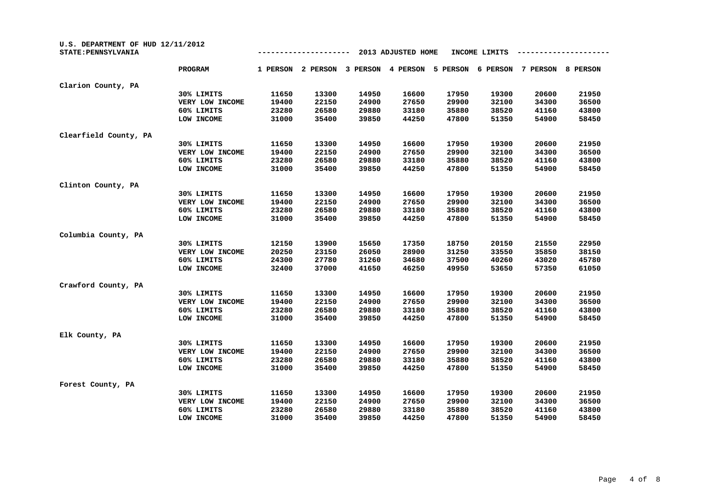| U.S. DEPARTMENT OF HUD 12/11/2012<br>STATE: PENNSYLVANIA |                 |          |          |          | 2013 ADJUSTED HOME |          | INCOME LIMITS |          |          |
|----------------------------------------------------------|-----------------|----------|----------|----------|--------------------|----------|---------------|----------|----------|
|                                                          | PROGRAM         | 1 PERSON | 2 PERSON | 3 PERSON | 4 PERSON           | 5 PERSON | 6 PERSON      | 7 PERSON | 8 PERSON |
| Clarion County, PA                                       |                 |          |          |          |                    |          |               |          |          |
|                                                          | 30% LIMITS      | 11650    | 13300    | 14950    | 16600              | 17950    | 19300         | 20600    | 21950    |
|                                                          | VERY LOW INCOME | 19400    | 22150    | 24900    | 27650              | 29900    | 32100         | 34300    | 36500    |
|                                                          | 60% LIMITS      | 23280    | 26580    | 29880    | 33180              | 35880    | 38520         | 41160    | 43800    |
|                                                          | LOW INCOME      | 31000    | 35400    | 39850    | 44250              | 47800    | 51350         | 54900    | 58450    |
| Clearfield County, PA                                    |                 |          |          |          |                    |          |               |          |          |
|                                                          | 30% LIMITS      | 11650    | 13300    | 14950    | 16600              | 17950    | 19300         | 20600    | 21950    |
|                                                          | VERY LOW INCOME | 19400    | 22150    | 24900    | 27650              | 29900    | 32100         | 34300    | 36500    |
|                                                          | 60% LIMITS      | 23280    | 26580    | 29880    | 33180              | 35880    | 38520         | 41160    | 43800    |
|                                                          | LOW INCOME      | 31000    | 35400    | 39850    | 44250              | 47800    | 51350         | 54900    | 58450    |
| Clinton County, PA                                       |                 |          |          |          |                    |          |               |          |          |
|                                                          | 30% LIMITS      | 11650    | 13300    | 14950    | 16600              | 17950    | 19300         | 20600    | 21950    |
|                                                          | VERY LOW INCOME | 19400    | 22150    | 24900    | 27650              | 29900    | 32100         | 34300    | 36500    |
|                                                          | 60% LIMITS      | 23280    | 26580    | 29880    | 33180              | 35880    | 38520         | 41160    | 43800    |
|                                                          | LOW INCOME      | 31000    | 35400    | 39850    | 44250              | 47800    | 51350         | 54900    | 58450    |
| Columbia County, PA                                      |                 |          |          |          |                    |          |               |          |          |
|                                                          | 30% LIMITS      | 12150    | 13900    | 15650    | 17350              | 18750    | 20150         | 21550    | 22950    |
|                                                          | VERY LOW INCOME | 20250    | 23150    | 26050    | 28900              | 31250    | 33550         | 35850    | 38150    |
|                                                          | 60% LIMITS      | 24300    | 27780    | 31260    | 34680              | 37500    | 40260         | 43020    | 45780    |
|                                                          | LOW INCOME      | 32400    | 37000    | 41650    | 46250              | 49950    | 53650         | 57350    | 61050    |
| Crawford County, PA                                      |                 |          |          |          |                    |          |               |          |          |
|                                                          | 30% LIMITS      | 11650    | 13300    | 14950    | 16600              | 17950    | 19300         | 20600    | 21950    |
|                                                          | VERY LOW INCOME | 19400    | 22150    | 24900    | 27650              | 29900    | 32100         | 34300    | 36500    |
|                                                          | 60% LIMITS      | 23280    | 26580    | 29880    | 33180              | 35880    | 38520         | 41160    | 43800    |
|                                                          | LOW INCOME      | 31000    | 35400    | 39850    | 44250              | 47800    | 51350         | 54900    | 58450    |
| Elk County, PA                                           |                 |          |          |          |                    |          |               |          |          |
|                                                          | 30% LIMITS      | 11650    | 13300    | 14950    | 16600              | 17950    | 19300         | 20600    | 21950    |
|                                                          | VERY LOW INCOME | 19400    | 22150    | 24900    | 27650              | 29900    | 32100         | 34300    | 36500    |
|                                                          | 60% LIMITS      | 23280    | 26580    | 29880    | 33180              | 35880    | 38520         | 41160    | 43800    |
|                                                          | LOW INCOME      | 31000    | 35400    | 39850    | 44250              | 47800    | 51350         | 54900    | 58450    |
| Forest County, PA                                        |                 |          |          |          |                    |          |               |          |          |
|                                                          | 30% LIMITS      | 11650    | 13300    | 14950    | 16600              | 17950    | 19300         | 20600    | 21950    |
|                                                          | VERY LOW INCOME | 19400    | 22150    | 24900    | 27650              | 29900    | 32100         | 34300    | 36500    |
|                                                          | 60% LIMITS      | 23280    | 26580    | 29880    | 33180              | 35880    | 38520         | 41160    | 43800    |
|                                                          | LOW INCOME      | 31000    | 35400    | 39850    | 44250              | 47800    | 51350         | 54900    | 58450    |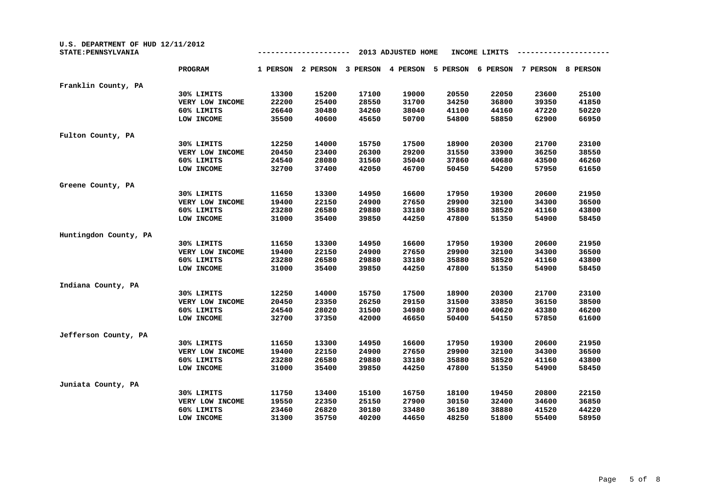| U.S. DEPARTMENT OF HUD 12/11/2012<br>STATE: PENNSYLVANIA |                 |          |          |          | 2013 ADJUSTED HOME |          | INCOME LIMITS |          |          |
|----------------------------------------------------------|-----------------|----------|----------|----------|--------------------|----------|---------------|----------|----------|
|                                                          | <b>PROGRAM</b>  | 1 PERSON | 2 PERSON | 3 PERSON | 4 PERSON           | 5 PERSON | 6 PERSON      | 7 PERSON | 8 PERSON |
| Franklin County, PA                                      |                 |          |          |          |                    |          |               |          |          |
|                                                          | 30% LIMITS      | 13300    | 15200    | 17100    | 19000              | 20550    | 22050         | 23600    | 25100    |
|                                                          | VERY LOW INCOME | 22200    | 25400    | 28550    | 31700              | 34250    | 36800         | 39350    | 41850    |
|                                                          | 60% LIMITS      | 26640    | 30480    | 34260    | 38040              | 41100    | 44160         | 47220    | 50220    |
|                                                          | LOW INCOME      | 35500    | 40600    | 45650    | 50700              | 54800    | 58850         | 62900    | 66950    |
| Fulton County, PA                                        |                 |          |          |          |                    |          |               |          |          |
|                                                          | 30% LIMITS      | 12250    | 14000    | 15750    | 17500              | 18900    | 20300         | 21700    | 23100    |
|                                                          | VERY LOW INCOME | 20450    | 23400    | 26300    | 29200              | 31550    | 33900         | 36250    | 38550    |
|                                                          | 60% LIMITS      | 24540    | 28080    | 31560    | 35040              | 37860    | 40680         | 43500    | 46260    |
|                                                          | LOW INCOME      | 32700    | 37400    | 42050    | 46700              | 50450    | 54200         | 57950    | 61650    |
| Greene County, PA                                        |                 |          |          |          |                    |          |               |          |          |
|                                                          | 30% LIMITS      | 11650    | 13300    | 14950    | 16600              | 17950    | 19300         | 20600    | 21950    |
|                                                          | VERY LOW INCOME | 19400    | 22150    | 24900    | 27650              | 29900    | 32100         | 34300    | 36500    |
|                                                          | 60% LIMITS      | 23280    | 26580    | 29880    | 33180              | 35880    | 38520         | 41160    | 43800    |
|                                                          | LOW INCOME      | 31000    | 35400    | 39850    | 44250              | 47800    | 51350         | 54900    | 58450    |
| Huntingdon County, PA                                    |                 |          |          |          |                    |          |               |          |          |
|                                                          | 30% LIMITS      | 11650    | 13300    | 14950    | 16600              | 17950    | 19300         | 20600    | 21950    |
|                                                          | VERY LOW INCOME | 19400    | 22150    | 24900    | 27650              | 29900    | 32100         | 34300    | 36500    |
|                                                          | 60% LIMITS      | 23280    | 26580    | 29880    | 33180              | 35880    | 38520         | 41160    | 43800    |
|                                                          | LOW INCOME      | 31000    | 35400    | 39850    | 44250              | 47800    | 51350         | 54900    | 58450    |
| Indiana County, PA                                       |                 |          |          |          |                    |          |               |          |          |
|                                                          | 30% LIMITS      | 12250    | 14000    | 15750    | 17500              | 18900    | 20300         | 21700    | 23100    |
|                                                          | VERY LOW INCOME | 20450    | 23350    | 26250    | 29150              | 31500    | 33850         | 36150    | 38500    |
|                                                          | 60% LIMITS      | 24540    | 28020    | 31500    | 34980              | 37800    | 40620         | 43380    | 46200    |
|                                                          | LOW INCOME      | 32700    | 37350    | 42000    | 46650              | 50400    | 54150         | 57850    | 61600    |
| Jefferson County, PA                                     |                 |          |          |          |                    |          |               |          |          |
|                                                          | 30% LIMITS      | 11650    | 13300    | 14950    | 16600              | 17950    | 19300         | 20600    | 21950    |
|                                                          | VERY LOW INCOME | 19400    | 22150    | 24900    | 27650              | 29900    | 32100         | 34300    | 36500    |
|                                                          | 60% LIMITS      | 23280    | 26580    | 29880    | 33180              | 35880    | 38520         | 41160    | 43800    |
|                                                          | LOW INCOME      | 31000    | 35400    | 39850    | 44250              | 47800    | 51350         | 54900    | 58450    |
| Juniata County, PA                                       |                 |          |          |          |                    |          |               |          |          |
|                                                          | 30% LIMITS      | 11750    | 13400    | 15100    | 16750              | 18100    | 19450         | 20800    | 22150    |
|                                                          | VERY LOW INCOME | 19550    | 22350    | 25150    | 27900              | 30150    | 32400         | 34600    | 36850    |
|                                                          | 60% LIMITS      | 23460    | 26820    | 30180    | 33480              | 36180    | 38880         | 41520    | 44220    |
|                                                          | LOW INCOME      | 31300    | 35750    | 40200    | 44650              | 48250    | 51800         | 55400    | 58950    |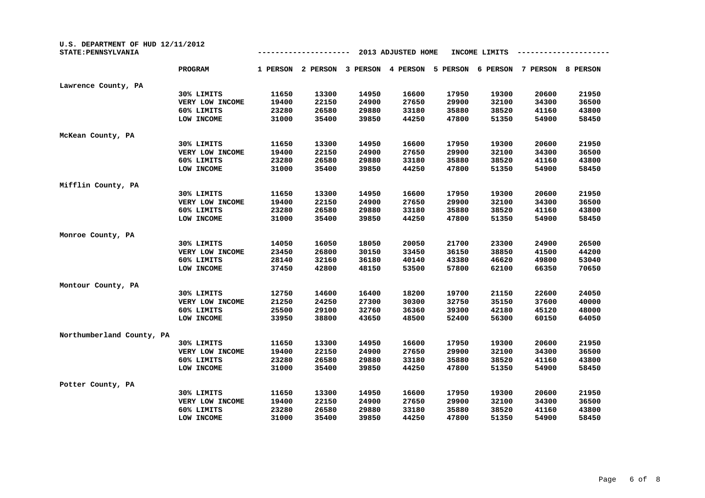| U.S. DEPARTMENT OF HUD 12/11/2012<br>STATE: PENNSYLVANIA |                 |          |          |          | 2013 ADJUSTED HOME |          | INCOME LIMITS |          |          |
|----------------------------------------------------------|-----------------|----------|----------|----------|--------------------|----------|---------------|----------|----------|
|                                                          | <b>PROGRAM</b>  | 1 PERSON | 2 PERSON | 3 PERSON | 4 PERSON           | 5 PERSON | 6 PERSON      | 7 PERSON | 8 PERSON |
| Lawrence County, PA                                      |                 |          |          |          |                    |          |               |          |          |
|                                                          | 30% LIMITS      | 11650    | 13300    | 14950    | 16600              | 17950    | 19300         | 20600    | 21950    |
|                                                          | VERY LOW INCOME | 19400    | 22150    | 24900    | 27650              | 29900    | 32100         | 34300    | 36500    |
|                                                          | 60% LIMITS      | 23280    | 26580    | 29880    | 33180              | 35880    | 38520         | 41160    | 43800    |
|                                                          | LOW INCOME      | 31000    | 35400    | 39850    | 44250              | 47800    | 51350         | 54900    | 58450    |
| McKean County, PA                                        |                 |          |          |          |                    |          |               |          |          |
|                                                          | 30% LIMITS      | 11650    | 13300    | 14950    | 16600              | 17950    | 19300         | 20600    | 21950    |
|                                                          | VERY LOW INCOME | 19400    | 22150    | 24900    | 27650              | 29900    | 32100         | 34300    | 36500    |
|                                                          | 60% LIMITS      | 23280    | 26580    | 29880    | 33180              | 35880    | 38520         | 41160    | 43800    |
|                                                          | LOW INCOME      | 31000    | 35400    | 39850    | 44250              | 47800    | 51350         | 54900    | 58450    |
| Mifflin County, PA                                       |                 |          |          |          |                    |          |               |          |          |
|                                                          | 30% LIMITS      | 11650    | 13300    | 14950    | 16600              | 17950    | 19300         | 20600    | 21950    |
|                                                          | VERY LOW INCOME | 19400    | 22150    | 24900    | 27650              | 29900    | 32100         | 34300    | 36500    |
|                                                          | 60% LIMITS      | 23280    | 26580    | 29880    | 33180              | 35880    | 38520         | 41160    | 43800    |
|                                                          | LOW INCOME      | 31000    | 35400    | 39850    | 44250              | 47800    | 51350         | 54900    | 58450    |
| Monroe County, PA                                        |                 |          |          |          |                    |          |               |          |          |
|                                                          | 30% LIMITS      | 14050    | 16050    | 18050    | 20050              | 21700    | 23300         | 24900    | 26500    |
|                                                          | VERY LOW INCOME | 23450    | 26800    | 30150    | 33450              | 36150    | 38850         | 41500    | 44200    |
|                                                          | 60% LIMITS      | 28140    | 32160    | 36180    | 40140              | 43380    | 46620         | 49800    | 53040    |
|                                                          | LOW INCOME      | 37450    | 42800    | 48150    | 53500              | 57800    | 62100         | 66350    | 70650    |
| Montour County, PA                                       |                 |          |          |          |                    |          |               |          |          |
|                                                          | 30% LIMITS      | 12750    | 14600    | 16400    | 18200              | 19700    | 21150         | 22600    | 24050    |
|                                                          | VERY LOW INCOME | 21250    | 24250    | 27300    | 30300              | 32750    | 35150         | 37600    | 40000    |
|                                                          | 60% LIMITS      | 25500    | 29100    | 32760    | 36360              | 39300    | 42180         | 45120    | 48000    |
|                                                          | LOW INCOME      | 33950    | 38800    | 43650    | 48500              | 52400    | 56300         | 60150    | 64050    |
| Northumberland County, PA                                |                 |          |          |          |                    |          |               |          |          |
|                                                          | 30% LIMITS      | 11650    | 13300    | 14950    | 16600              | 17950    | 19300         | 20600    | 21950    |
|                                                          | VERY LOW INCOME | 19400    | 22150    | 24900    | 27650              | 29900    | 32100         | 34300    | 36500    |
|                                                          | 60% LIMITS      | 23280    | 26580    | 29880    | 33180              | 35880    | 38520         | 41160    | 43800    |
|                                                          | LOW INCOME      | 31000    | 35400    | 39850    | 44250              | 47800    | 51350         | 54900    | 58450    |
| Potter County, PA                                        |                 |          |          |          |                    |          |               |          |          |
|                                                          | 30% LIMITS      | 11650    | 13300    | 14950    | 16600              | 17950    | 19300         | 20600    | 21950    |
|                                                          | VERY LOW INCOME | 19400    | 22150    | 24900    | 27650              | 29900    | 32100         | 34300    | 36500    |
|                                                          | 60% LIMITS      | 23280    | 26580    | 29880    | 33180              | 35880    | 38520         | 41160    | 43800    |
|                                                          | LOW INCOME      | 31000    | 35400    | 39850    | 44250              | 47800    | 51350         | 54900    | 58450    |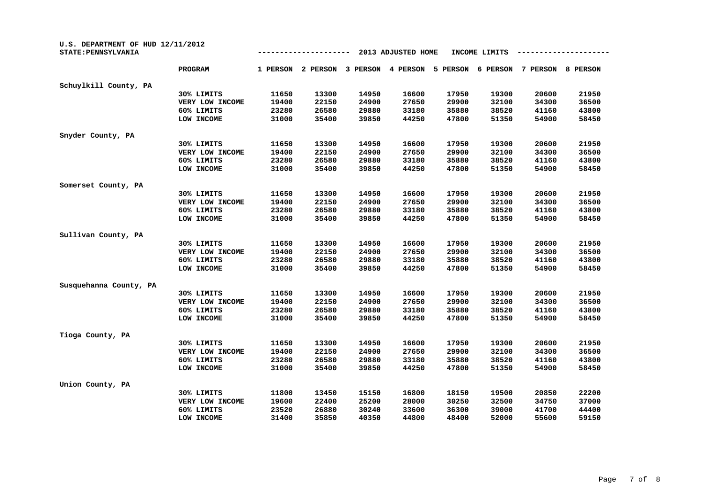| U.S. DEPARTMENT OF HUD 12/11/2012<br>STATE: PENNSYLVANIA |                 |          |          |          | 2013 ADJUSTED HOME |          | INCOME LIMITS |          |          |
|----------------------------------------------------------|-----------------|----------|----------|----------|--------------------|----------|---------------|----------|----------|
|                                                          | PROGRAM         | 1 PERSON | 2 PERSON | 3 PERSON | 4 PERSON           | 5 PERSON | 6 PERSON      | 7 PERSON | 8 PERSON |
| Schuylkill County, PA                                    |                 |          |          |          |                    |          |               |          |          |
|                                                          | 30% LIMITS      | 11650    | 13300    | 14950    | 16600              | 17950    | 19300         | 20600    | 21950    |
|                                                          | VERY LOW INCOME | 19400    | 22150    | 24900    | 27650              | 29900    | 32100         | 34300    | 36500    |
|                                                          | 60% LIMITS      | 23280    | 26580    | 29880    | 33180              | 35880    | 38520         | 41160    | 43800    |
|                                                          | LOW INCOME      | 31000    | 35400    | 39850    | 44250              | 47800    | 51350         | 54900    | 58450    |
| Snyder County, PA                                        |                 |          |          |          |                    |          |               |          |          |
|                                                          | 30% LIMITS      | 11650    | 13300    | 14950    | 16600              | 17950    | 19300         | 20600    | 21950    |
|                                                          | VERY LOW INCOME | 19400    | 22150    | 24900    | 27650              | 29900    | 32100         | 34300    | 36500    |
|                                                          | 60% LIMITS      | 23280    | 26580    | 29880    | 33180              | 35880    | 38520         | 41160    | 43800    |
|                                                          | LOW INCOME      | 31000    | 35400    | 39850    | 44250              | 47800    | 51350         | 54900    | 58450    |
| Somerset County, PA                                      |                 |          |          |          |                    |          |               |          |          |
|                                                          | 30% LIMITS      | 11650    | 13300    | 14950    | 16600              | 17950    | 19300         | 20600    | 21950    |
|                                                          | VERY LOW INCOME | 19400    | 22150    | 24900    | 27650              | 29900    | 32100         | 34300    | 36500    |
|                                                          | 60% LIMITS      | 23280    | 26580    | 29880    | 33180              | 35880    | 38520         | 41160    | 43800    |
|                                                          | LOW INCOME      | 31000    | 35400    | 39850    | 44250              | 47800    | 51350         | 54900    | 58450    |
| Sullivan County, PA                                      |                 |          |          |          |                    |          |               |          |          |
|                                                          | 30% LIMITS      | 11650    | 13300    | 14950    | 16600              | 17950    | 19300         | 20600    | 21950    |
|                                                          | VERY LOW INCOME | 19400    | 22150    | 24900    | 27650              | 29900    | 32100         | 34300    | 36500    |
|                                                          | 60% LIMITS      | 23280    | 26580    | 29880    | 33180              | 35880    | 38520         | 41160    | 43800    |
|                                                          | LOW INCOME      | 31000    | 35400    | 39850    | 44250              | 47800    | 51350         | 54900    | 58450    |
| Susquehanna County, PA                                   |                 |          |          |          |                    |          |               |          |          |
|                                                          | 30% LIMITS      | 11650    | 13300    | 14950    | 16600              | 17950    | 19300         | 20600    | 21950    |
|                                                          | VERY LOW INCOME | 19400    | 22150    | 24900    | 27650              | 29900    | 32100         | 34300    | 36500    |
|                                                          | 60% LIMITS      | 23280    | 26580    | 29880    | 33180              | 35880    | 38520         | 41160    | 43800    |
|                                                          | LOW INCOME      | 31000    | 35400    | 39850    | 44250              | 47800    | 51350         | 54900    | 58450    |
| Tioga County, PA                                         |                 |          |          |          |                    |          |               |          |          |
|                                                          | 30% LIMITS      | 11650    | 13300    | 14950    | 16600              | 17950    | 19300         | 20600    | 21950    |
|                                                          | VERY LOW INCOME | 19400    | 22150    | 24900    | 27650              | 29900    | 32100         | 34300    | 36500    |
|                                                          | 60% LIMITS      | 23280    | 26580    | 29880    | 33180              | 35880    | 38520         | 41160    | 43800    |
|                                                          | LOW INCOME      | 31000    | 35400    | 39850    | 44250              | 47800    | 51350         | 54900    | 58450    |
| Union County, PA                                         |                 |          |          |          |                    |          |               |          |          |
|                                                          | 30% LIMITS      | 11800    | 13450    | 15150    | 16800              | 18150    | 19500         | 20850    | 22200    |
|                                                          | VERY LOW INCOME | 19600    | 22400    | 25200    | 28000              | 30250    | 32500         | 34750    | 37000    |
|                                                          | 60% LIMITS      | 23520    | 26880    | 30240    | 33600              | 36300    | 39000         | 41700    | 44400    |
|                                                          | LOW INCOME      | 31400    | 35850    | 40350    | 44800              | 48400    | 52000         | 55600    | 59150    |